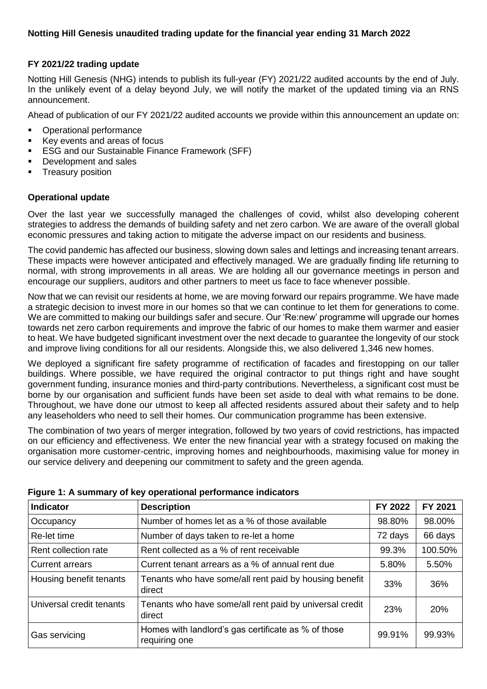### **FY 2021/22 trading update**

Notting Hill Genesis (NHG) intends to publish its full-year (FY) 2021/22 audited accounts by the end of July. In the unlikely event of a delay beyond July, we will notify the market of the updated timing via an RNS announcement.

Ahead of publication of our FY 2021/22 audited accounts we provide within this announcement an update on:

- Operational performance
- Key events and areas of focus
- ESG and our Sustainable Finance Framework (SFF)
- Development and sales
- **•** Treasury position

#### **Operational update**

Over the last year we successfully managed the challenges of covid, whilst also developing coherent strategies to address the demands of building safety and net zero carbon. We are aware of the overall global economic pressures and taking action to mitigate the adverse impact on our residents and business.

The covid pandemic has affected our business, slowing down sales and lettings and increasing tenant arrears. These impacts were however anticipated and effectively managed. We are gradually finding life returning to normal, with strong improvements in all areas. We are holding all our governance meetings in person and encourage our suppliers, auditors and other partners to meet us face to face whenever possible.

Now that we can revisit our residents at home, we are moving forward our repairs programme. We have made a strategic decision to invest more in our homes so that we can continue to let them for generations to come. We are committed to making our buildings safer and secure. Our 'Re:new' programme will upgrade our homes towards net zero carbon requirements and improve the fabric of our homes to make them warmer and easier to heat. We have budgeted significant investment over the next decade to guarantee the longevity of our stock and improve living conditions for all our residents. Alongside this, we also delivered 1,346 new homes.

We deployed a significant fire safety programme of rectification of facades and firestopping on our taller buildings. Where possible, we have required the original contractor to put things right and have sought government funding, insurance monies and third-party contributions. Nevertheless, a significant cost must be borne by our organisation and sufficient funds have been set aside to deal with what remains to be done. Throughout, we have done our utmost to keep all affected residents assured about their safety and to help any leaseholders who need to sell their homes. Our communication programme has been extensive.

The combination of two years of merger integration, followed by two years of covid restrictions, has impacted on our efficiency and effectiveness. We enter the new financial year with a strategy focused on making the organisation more customer-centric, improving homes and neighbourhoods, maximising value for money in our service delivery and deepening our commitment to safety and the green agenda.

| Indicator                | <b>Description</b>                                                   | FY 2022 | FY 2021 |
|--------------------------|----------------------------------------------------------------------|---------|---------|
| Occupancy                | Number of homes let as a % of those available                        | 98.80%  | 98.00%  |
| Re-let time              | Number of days taken to re-let a home                                | 72 days | 66 days |
| Rent collection rate     | Rent collected as a % of rent receivable                             | 99.3%   | 100.50% |
| <b>Current arrears</b>   | Current tenant arrears as a % of annual rent due                     | 5.80%   | 5.50%   |
| Housing benefit tenants  | Tenants who have some/all rent paid by housing benefit<br>direct     | 33%     | 36%     |
| Universal credit tenants | Tenants who have some/all rent paid by universal credit<br>direct    | 23%     | 20%     |
| Gas servicing            | Homes with landlord's gas certificate as % of those<br>requiring one | 99.91%  | 99.93%  |

#### **Figure 1: A summary of key operational performance indicators**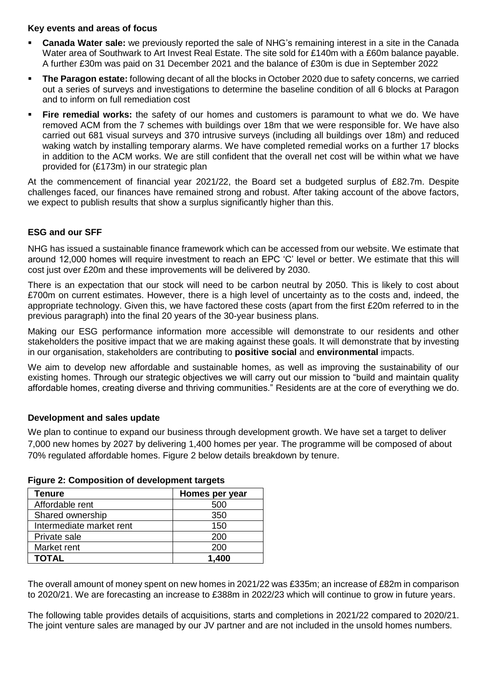### **Key events and areas of focus**

- **Canada Water sale:** we previously reported the sale of NHG's remaining interest in a site in the Canada Water area of Southwark to Art Invest Real Estate. The site sold for £140m with a £60m balance payable. A further £30m was paid on 31 December 2021 and the balance of £30m is due in September 2022
- **The Paragon estate:** following decant of all the blocks in October 2020 due to safety concerns, we carried out a series of surveys and investigations to determine the baseline condition of all 6 blocks at Paragon and to inform on full remediation cost
- **Eire remedial works:** the safety of our homes and customers is paramount to what we do. We have removed ACM from the 7 schemes with buildings over 18m that we were responsible for. We have also carried out 681 visual surveys and 370 intrusive surveys (including all buildings over 18m) and reduced waking watch by installing temporary alarms. We have completed remedial works on a further 17 blocks in addition to the ACM works. We are still confident that the overall net cost will be within what we have provided for (£173m) in our strategic plan

At the commencement of financial year 2021/22, the Board set a budgeted surplus of £82.7m. Despite challenges faced, our finances have remained strong and robust. After taking account of the above factors, we expect to publish results that show a surplus significantly higher than this.

# **ESG and our SFF**

NHG has issued a sustainable finance framework which can be accessed from our website. We estimate that around 12,000 homes will require investment to reach an EPC 'C' level or better. We estimate that this will cost just over £20m and these improvements will be delivered by 2030.

There is an expectation that our stock will need to be carbon neutral by 2050. This is likely to cost about £700m on current estimates. However, there is a high level of uncertainty as to the costs and, indeed, the appropriate technology. Given this, we have factored these costs (apart from the first £20m referred to in the previous paragraph) into the final 20 years of the 30-year business plans.

Making our ESG performance information more accessible will demonstrate to our residents and other stakeholders the positive impact that we are making against these goals. It will demonstrate that by investing in our organisation, stakeholders are contributing to **positive social** and **environmental** impacts.

We aim to develop new affordable and sustainable homes, as well as improving the sustainability of our existing homes. Through our strategic objectives we will carry out our mission to "build and maintain quality affordable homes, creating diverse and thriving communities." Residents are at the core of everything we do.

# **Development and sales update**

We plan to continue to expand our business through development growth. We have set a target to deliver 7,000 new homes by 2027 by delivering 1,400 homes per year. The programme will be composed of about 70% regulated affordable homes. Figure 2 below details breakdown by tenure.

| Tenure                   | Homes per year |
|--------------------------|----------------|
| Affordable rent          | 500            |
| Shared ownership         | 350            |
| Intermediate market rent | 150            |
| Private sale             | 200            |
| Market rent              | 200            |
| <b>TOTAL</b>             | 1.400          |

# **Figure 2: Composition of development targets**

The overall amount of money spent on new homes in 2021/22 was £335m; an increase of £82m in comparison to 2020/21. We are forecasting an increase to £388m in 2022/23 which will continue to grow in future years.

The following table provides details of acquisitions, starts and completions in 2021/22 compared to 2020/21. The joint venture sales are managed by our JV partner and are not included in the unsold homes numbers.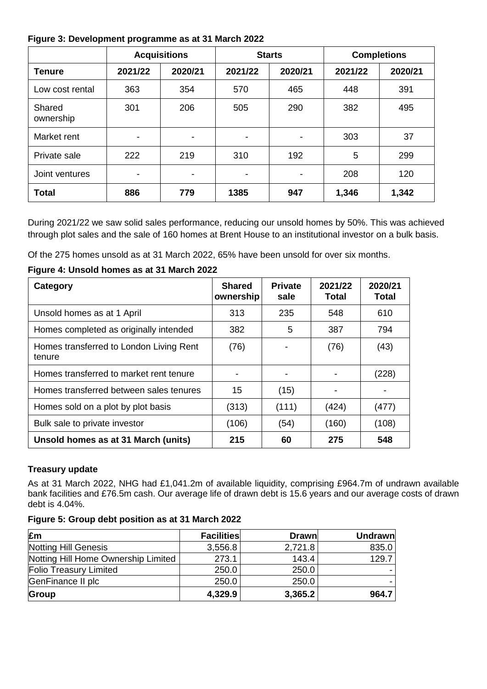### **Figure 3: Development programme as at 31 March 2022**

|                     |                | <b>Acquisitions</b>      |                          | <b>Starts</b> |         | <b>Completions</b> |
|---------------------|----------------|--------------------------|--------------------------|---------------|---------|--------------------|
| <b>Tenure</b>       | 2021/22        | 2020/21                  | 2021/22                  | 2020/21       | 2021/22 | 2020/21            |
| Low cost rental     | 363            | 354                      | 570                      | 465           | 448     | 391                |
| Shared<br>ownership | 301            | 206                      | 505                      | 290           | 382     | 495                |
| Market rent         | $\blacksquare$ | $\overline{\phantom{a}}$ | -                        | -             | 303     | 37                 |
| Private sale        | 222            | 219                      | 310                      | 192           | 5       | 299                |
| Joint ventures      | $\blacksquare$ | $\overline{\phantom{a}}$ | $\overline{\phantom{0}}$ | -             | 208     | 120                |
| <b>Total</b>        | 886            | 779                      | 1385                     | 947           | 1,346   | 1,342              |

During 2021/22 we saw solid sales performance, reducing our unsold homes by 50%. This was achieved through plot sales and the sale of 160 homes at Brent House to an institutional investor on a bulk basis.

Of the 275 homes unsold as at 31 March 2022, 65% have been unsold for over six months.

### **Figure 4: Unsold homes as at 31 March 2022**

| Category                                          | <b>Shared</b><br>ownership | <b>Private</b><br>sale | 2021/22<br>Total | 2020/21<br><b>Total</b> |
|---------------------------------------------------|----------------------------|------------------------|------------------|-------------------------|
| Unsold homes as at 1 April                        | 313                        | 235                    | 548              | 610                     |
| Homes completed as originally intended            | 382                        | 5                      | 387              | 794                     |
| Homes transferred to London Living Rent<br>tenure | (76)                       |                        | (76)             | (43)                    |
| Homes transferred to market rent tenure           |                            |                        |                  | (228)                   |
| Homes transferred between sales tenures           | 15                         | (15)                   |                  |                         |
| Homes sold on a plot by plot basis                | (313)                      | (111)                  | (424)            | (477)                   |
| Bulk sale to private investor                     | (106)                      | (54)                   | (160)            | (108)                   |
| Unsold homes as at 31 March (units)               | 215                        | 60                     | 275              | 548                     |

# **Treasury update**

As at 31 March 2022, NHG had £1,041.2m of available liquidity, comprising £964.7m of undrawn available bank facilities and £76.5m cash. Our average life of drawn debt is 15.6 years and our average costs of drawn debt is 4.04%.

|  |  |  |  | Figure 5: Group debt position as at 31 March 2022 |
|--|--|--|--|---------------------------------------------------|
|--|--|--|--|---------------------------------------------------|

| £m                                  | <b>Facilities</b> | <b>Drawn</b> | <b>Undrawn</b> |
|-------------------------------------|-------------------|--------------|----------------|
| Notting Hill Genesis                | 3,556.8           | 2,721.8      | 835.0          |
| Notting Hill Home Ownership Limited | 273.1             | 143.4        | 129.7          |
| <b>Folio Treasury Limited</b>       | 250.0             | 250.0        |                |
| GenFinance II plc                   | 250.0             | 250.0        |                |
| Group                               | 4,329.9           | 3,365.2      | 964.7          |